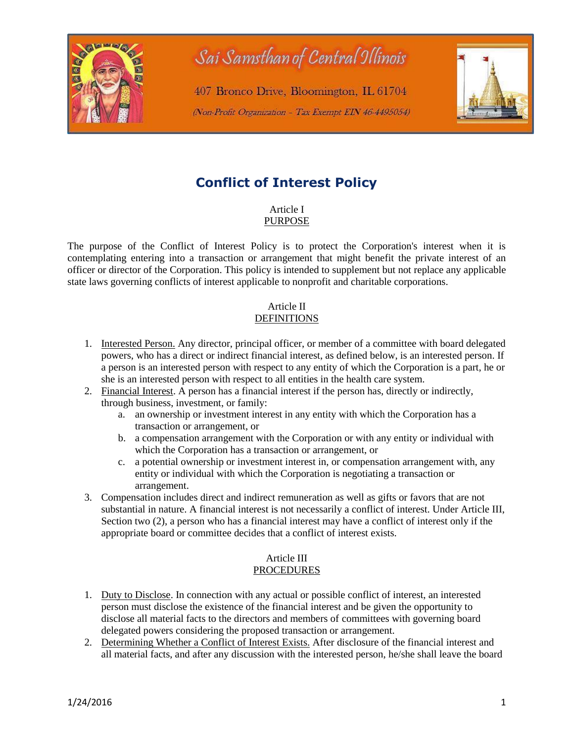

# **Conflict of Interest Policy**

Article I PURPOSE

The purpose of the Conflict of Interest Policy is to protect the Corporation's interest when it is contemplating entering into a transaction or arrangement that might benefit the private interest of an officer or director of the Corporation. This policy is intended to supplement but not replace any applicable state laws governing conflicts of interest applicable to nonprofit and charitable corporations.

#### Article II **DEFINITIONS**

- 1. Interested Person. Any director, principal officer, or member of a committee with board delegated powers, who has a direct or indirect financial interest, as defined below, is an interested person. If a person is an interested person with respect to any entity of which the Corporation is a part, he or she is an interested person with respect to all entities in the health care system.
- 2. Financial Interest. A person has a financial interest if the person has, directly or indirectly, through business, investment, or family:
	- a. an ownership or investment interest in any entity with which the Corporation has a transaction or arrangement, or
	- b. a compensation arrangement with the Corporation or with any entity or individual with which the Corporation has a transaction or arrangement, or
	- c. a potential ownership or investment interest in, or compensation arrangement with, any entity or individual with which the Corporation is negotiating a transaction or arrangement.
- 3. Compensation includes direct and indirect remuneration as well as gifts or favors that are not substantial in nature. A financial interest is not necessarily a conflict of interest. Under Article III, Section two (2), a person who has a financial interest may have a conflict of interest only if the appropriate board or committee decides that a conflict of interest exists.

### Article III PROCEDURES

- 1. Duty to Disclose. In connection with any actual or possible conflict of interest, an interested person must disclose the existence of the financial interest and be given the opportunity to disclose all material facts to the directors and members of committees with governing board delegated powers considering the proposed transaction or arrangement.
- 2. Determining Whether a Conflict of Interest Exists. After disclosure of the financial interest and all material facts, and after any discussion with the interested person, he/she shall leave the board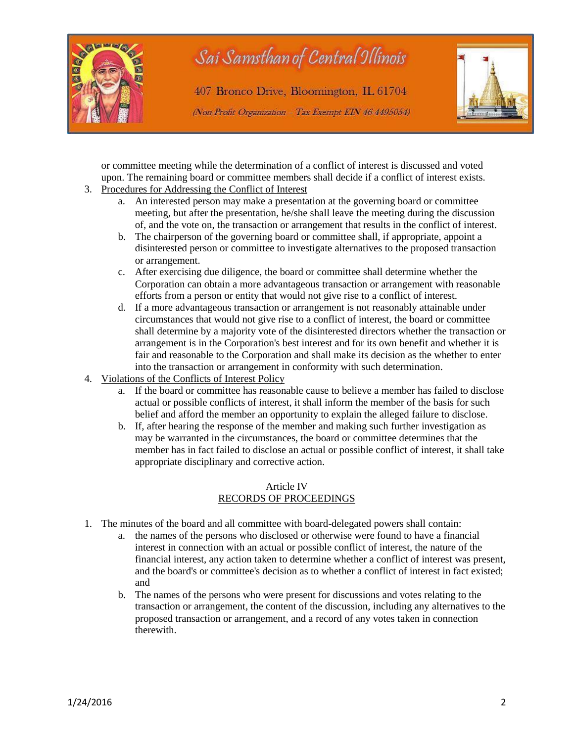

or committee meeting while the determination of a conflict of interest is discussed and voted upon. The remaining board or committee members shall decide if a conflict of interest exists.

- 3. Procedures for Addressing the Conflict of Interest
	- a. An interested person may make a presentation at the governing board or committee meeting, but after the presentation, he/she shall leave the meeting during the discussion of, and the vote on, the transaction or arrangement that results in the conflict of interest.
	- b. The chairperson of the governing board or committee shall, if appropriate, appoint a disinterested person or committee to investigate alternatives to the proposed transaction or arrangement.
	- c. After exercising due diligence, the board or committee shall determine whether the Corporation can obtain a more advantageous transaction or arrangement with reasonable efforts from a person or entity that would not give rise to a conflict of interest.
	- d. If a more advantageous transaction or arrangement is not reasonably attainable under circumstances that would not give rise to a conflict of interest, the board or committee shall determine by a majority vote of the disinterested directors whether the transaction or arrangement is in the Corporation's best interest and for its own benefit and whether it is fair and reasonable to the Corporation and shall make its decision as the whether to enter into the transaction or arrangement in conformity with such determination.
- 4. Violations of the Conflicts of Interest Policy
	- a. If the board or committee has reasonable cause to believe a member has failed to disclose actual or possible conflicts of interest, it shall inform the member of the basis for such belief and afford the member an opportunity to explain the alleged failure to disclose.
	- b. If, after hearing the response of the member and making such further investigation as may be warranted in the circumstances, the board or committee determines that the member has in fact failed to disclose an actual or possible conflict of interest, it shall take appropriate disciplinary and corrective action.

#### Article IV RECORDS OF PROCEEDINGS

- 1. The minutes of the board and all committee with board-delegated powers shall contain:
	- a. the names of the persons who disclosed or otherwise were found to have a financial interest in connection with an actual or possible conflict of interest, the nature of the financial interest, any action taken to determine whether a conflict of interest was present, and the board's or committee's decision as to whether a conflict of interest in fact existed; and
	- b. The names of the persons who were present for discussions and votes relating to the transaction or arrangement, the content of the discussion, including any alternatives to the proposed transaction or arrangement, and a record of any votes taken in connection therewith.